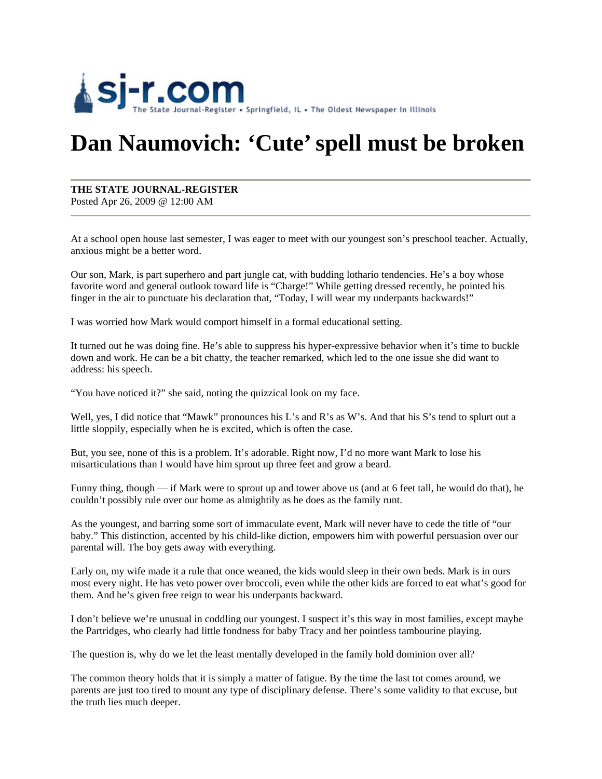

## **Dan Naumovich: 'Cute' spell must be broken**

## **THE STATE JOURNAL-REGISTER**

Posted Apr 26, 2009 @ 12:00 AM

At a school open house last semester, I was eager to meet with our youngest son's preschool teacher. Actually, anxious might be a better word.

Our son, Mark, is part superhero and part jungle cat, with budding lothario tendencies. He's a boy whose favorite word and general outlook toward life is "Charge!" While getting dressed recently, he pointed his finger in the air to punctuate his declaration that, "Today, I will wear my underpants backwards!"

I was worried how Mark would comport himself in a formal educational setting.

It turned out he was doing fine. He's able to suppress his hyper-expressive behavior when it's time to buckle down and work. He can be a bit chatty, the teacher remarked, which led to the one issue she did want to address: his speech.

"You have noticed it?" she said, noting the quizzical look on my face.

Well, yes, I did notice that "Mawk" pronounces his L's and R's as W's. And that his S's tend to splurt out a little sloppily, especially when he is excited, which is often the case.

But, you see, none of this is a problem. It's adorable. Right now, I'd no more want Mark to lose his misarticulations than I would have him sprout up three feet and grow a beard.

Funny thing, though — if Mark were to sprout up and tower above us (and at 6 feet tall, he would do that), he couldn't possibly rule over our home as almightily as he does as the family runt.

As the youngest, and barring some sort of immaculate event, Mark will never have to cede the title of "our baby." This distinction, accented by his child-like diction, empowers him with powerful persuasion over our parental will. The boy gets away with everything.

Early on, my wife made it a rule that once weaned, the kids would sleep in their own beds. Mark is in ours most every night. He has veto power over broccoli, even while the other kids are forced to eat what's good for them. And he's given free reign to wear his underpants backward.

I don't believe we're unusual in coddling our youngest. I suspect it's this way in most families, except maybe the Partridges, who clearly had little fondness for baby Tracy and her pointless tambourine playing.

The question is, why do we let the least mentally developed in the family hold dominion over all?

The common theory holds that it is simply a matter of fatigue. By the time the last tot comes around, we parents are just too tired to mount any type of disciplinary defense. There's some validity to that excuse, but the truth lies much deeper.